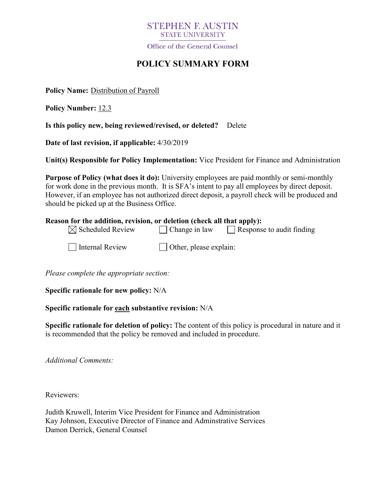# **STEPHEN F. AUSTIN STATE UNIVERSITY**

Office of the General Counsel

# **POLICY SUMMARY FORM**

**Policy Name:** Distribution of Payroll

**Policy Number:** 12.3

**Is this policy new, being reviewed/revised, or deleted?** Delete

**Date of last revision, if applicable:** 4/30/2019

**Unit(s) Responsible for Policy Implementation:** Vice President for Finance and Administration

**Purpose of Policy (what does it do):** University employees are paid monthly or semi-monthly for work done in the previous month. It is SFA's intent to pay all employees by direct deposit. However, if an employee has not authorized direct deposit, a payroll check will be produced and should be picked up at the Business Office.

| Reason for the addition, revision, or deletion (check all that apply): |                      |                           |
|------------------------------------------------------------------------|----------------------|---------------------------|
| $\boxtimes$ Scheduled Review                                           | $\Box$ Change in law | Response to audit finding |

 $\Box$  Internal Review  $\Box$  Other, please explain:

*Please complete the appropriate section:*

**Specific rationale for new policy:** N/A

### **Specific rationale for each substantive revision:** N/A

**Specific rationale for deletion of policy:** The content of this policy is procedural in nature and it is recommended that the policy be removed and included in procedure.

*Additional Comments:*

Reviewers:

Judith Kruwell, Interim Vice President for Finance and Administration Kay Johnson, Executive Director of Finance and Adminstrative Services Damon Derrick, General Counsel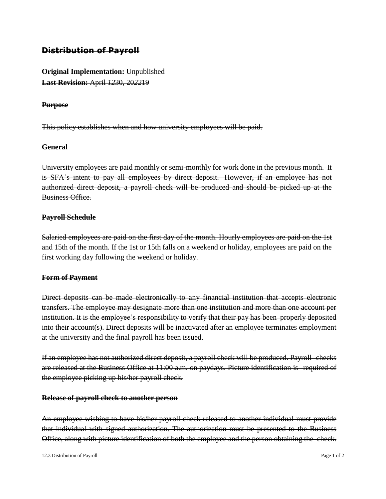## **Distribution of Payroll**

**Original Implementation:** Unpublished **Last Revision:** April *12*30, 20*22*19

### **Purpose**

This policy establishes when and how university employees will be paid.

### **General**

University employees are paid monthly or semi-monthly for work done in the previous month. It is SFA's intent to pay all employees by direct deposit. However, if an employee has not authorized direct deposit, a payroll check will be produced and should be picked up at the Business Office.

### **Payroll Schedule**

Salaried employees are paid on the first day of the month. Hourly employees are paid on the 1st and 15th of the month. If the 1st or 15th falls on a weekend or holiday, employees are paid on the first working day following the weekend or holiday.

#### **Form of Payment**

Direct deposits can be made electronically to any financial institution that accepts electronic transfers. The employee may designate more than one institution and more than one account per institution. It is the employee's responsibility to verify that their pay has been properly deposited into their account(s). Direct deposits will be inactivated after an employee terminates employment at the university and the final payroll has been issued.

If an employee has not authorized direct deposit, a payroll check will be produced. Payroll checks are released at the Business Office at 11:00 a.m. on paydays. Picture identification is required of the employee picking up his/her payroll check.

#### **Release of payroll check to another person**

An employee wishing to have his/her payroll check released to another individual must provide that individual with signed authorization. The authorization must be presented to the Business Office, along with picture identification of both the employee and the person obtaining the check.